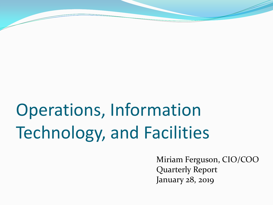# Operations, Information Technology, and Facilities

Miriam Ferguson, CIO/COO Quarterly Report January 28, 2019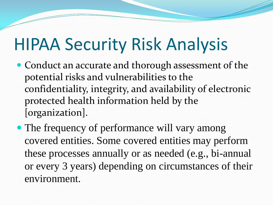## HIPAA Security Risk Analysis

- Conduct an accurate and thorough assessment of the potential risks and vulnerabilities to the confidentiality, integrity, and availability of electronic protected health information held by the [organization].
- The frequency of performance will vary among covered entities. Some covered entities may perform these processes annually or as needed (e.g., bi-annual or every 3 years) depending on circumstances of their environment.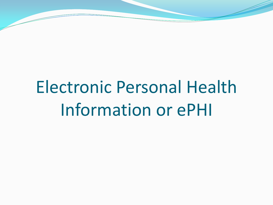# Electronic Personal Health Information or ePHI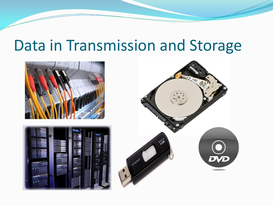#### Data in Transmission and Storage

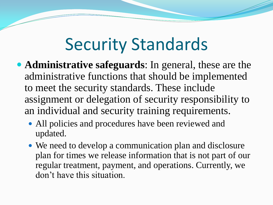#### Security Standards

- **Administrative safeguards**: In general, these are the administrative functions that should be implemented to meet the security standards. These include assignment or delegation of security responsibility to an individual and security training requirements.
	- All policies and procedures have been reviewed and updated.
	- We need to develop a communication plan and disclosure plan for times we release information that is not part of our regular treatment, payment, and operations. Currently, we don't have this situation.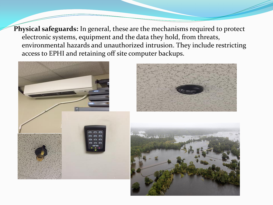**Physical safeguards:** In general, these are the mechanisms required to protect electronic systems, equipment and the data they hold, from threats, environmental hazards and unauthorized intrusion. They include restricting access to EPHI and retaining off site computer backups.

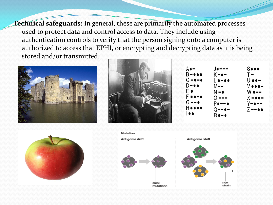**Technical safeguards:** In general, these are primarily the automated processes used to protect data and control access to data. They include using authentication controls to verify that the person signing onto a computer is authorized to access that EPHI, or encrypting and decrypting data as it is being stored and/or transmitted.









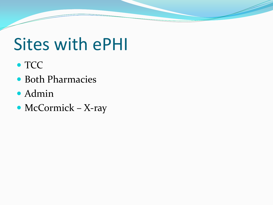#### Sites with ePHI

- TCC
- Both Pharmacies
- Admin
- McCormick X-ray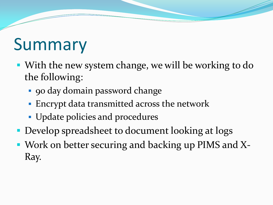#### Summary

- With the new system change, we will be working to do the following:
	- 90 day domain password change
	- **Encrypt data transmitted across the network**
	- Update policies and procedures
- **Develop spreadsheet to document looking at logs**
- Work on better securing and backing up PIMS and X-Ray.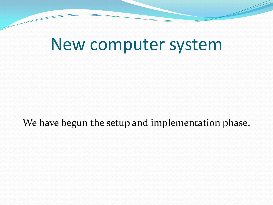#### New computer system

We have begun the setup and implementation phase.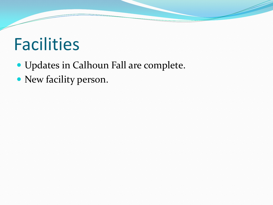## Facilities

- Updates in Calhoun Fall are complete.
- New facility person.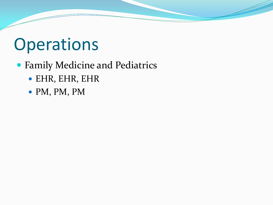## **Operations**

#### Family Medicine and Pediatrics

- EHR, EHR, EHR
- PM, PM, PM